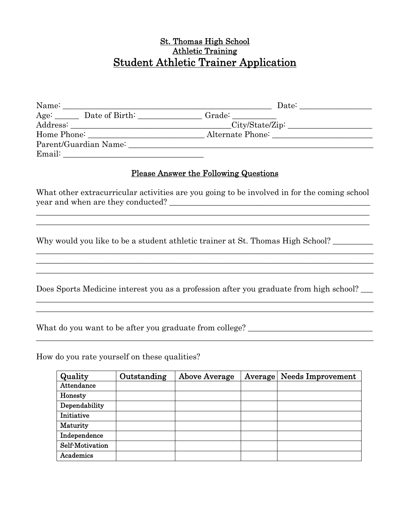#### St. Thomas High School Athletic Training Student Athletic Trainer Application

| Name:                 | Date:                               |
|-----------------------|-------------------------------------|
| $Age:$ Date of Birth: | Grade:                              |
| Address:              | $\text{City/State/Zip:}\_\_\_\_\_\$ |
| Home Phone:           | Alternate Phone:                    |
| Parent/Guardian Name: |                                     |
| Email:                |                                     |

#### Please Answer the Following Questions

What other extracurricular activities are you going to be involved in for the coming school year and when are they conducted?

\_\_\_\_\_\_\_\_\_\_\_\_\_\_\_\_\_\_\_\_\_\_\_\_\_\_\_\_\_\_\_\_\_\_\_\_\_\_\_\_\_\_\_\_\_\_\_\_\_\_\_\_\_\_\_\_\_\_\_\_\_\_\_\_\_\_\_\_\_\_\_\_\_\_\_\_\_\_\_\_\_\_\_

 $\_$  , and the set of the set of the set of the set of the set of the set of the set of the set of the set of the set of the set of the set of the set of the set of the set of the set of the set of the set of the set of th  $\_$  , and the set of the set of the set of the set of the set of the set of the set of the set of the set of the set of the set of the set of the set of the set of the set of the set of the set of the set of the set of th  $\_$  , and the set of the set of the set of the set of the set of the set of the set of the set of the set of the set of the set of the set of the set of the set of the set of the set of the set of the set of the set of th

Why would you like to be a student athletic trainer at St. Thomas High School?

Does Sports Medicine interest you as a profession after you graduate from high school?

 $\_$  , and the set of the set of the set of the set of the set of the set of the set of the set of the set of the set of the set of the set of the set of the set of the set of the set of the set of the set of the set of th

What do you want to be after you graduate from college?

\_\_\_\_\_\_\_\_\_\_\_\_\_\_\_\_\_\_\_\_\_\_\_\_\_\_\_\_\_\_\_\_\_\_\_\_\_\_\_\_\_\_\_\_\_\_\_\_\_\_\_\_\_\_\_\_\_\_\_\_\_\_\_\_\_\_\_\_\_\_\_\_\_\_\_\_\_\_\_\_\_\_\_\_

How do you rate yourself on these qualities?

| Quality         | Outstanding | <b>Above Average</b> | Average Needs Improvement |
|-----------------|-------------|----------------------|---------------------------|
| Attendance      |             |                      |                           |
| Honesty         |             |                      |                           |
| Dependability   |             |                      |                           |
| Initiative      |             |                      |                           |
| Maturity        |             |                      |                           |
| Independence    |             |                      |                           |
| Self-Motivation |             |                      |                           |
| Academics       |             |                      |                           |